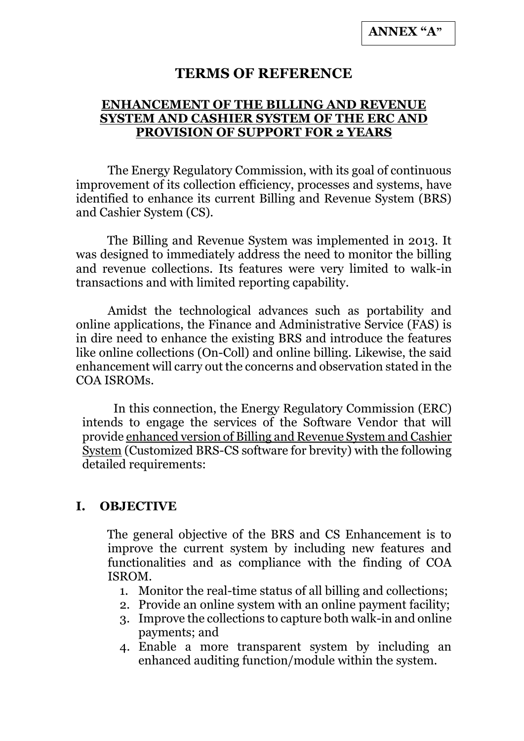### **TERMS OF REFERENCE**

#### **ENHANCEMENT OF THE BILLING AND REVENUE SYSTEM AND CASHIER SYSTEM OF THE ERC AND PROVISION OF SUPPORT FOR 2 YEARS**

The Energy Regulatory Commission, with its goal of continuous improvement of its collection efficiency, processes and systems, have identified to enhance its current Billing and Revenue System (BRS) and Cashier System (CS).

The Billing and Revenue System was implemented in 2013. It was designed to immediately address the need to monitor the billing and revenue collections. Its features were very limited to walk-in transactions and with limited reporting capability.

Amidst the technological advances such as portability and online applications, the Finance and Administrative Service (FAS) is in dire need to enhance the existing BRS and introduce the features like online collections (On-Coll) and online billing. Likewise, the said enhancement will carry out the concerns and observation stated in the COA ISROMs.

In this connection, the Energy Regulatory Commission (ERC) intends to engage the services of the Software Vendor that will provide enhanced version of Billing and Revenue System and Cashier System (Customized BRS-CS software for brevity) with the following detailed requirements:

#### **I. OBJECTIVE**

The general objective of the BRS and CS Enhancement is to improve the current system by including new features and functionalities and as compliance with the finding of COA ISROM.

- 1. Monitor the real-time status of all billing and collections;
- 2. Provide an online system with an online payment facility;
- 3. Improve the collections to capture both walk-in and online payments; and
- 4. Enable a more transparent system by including an enhanced auditing function/module within the system.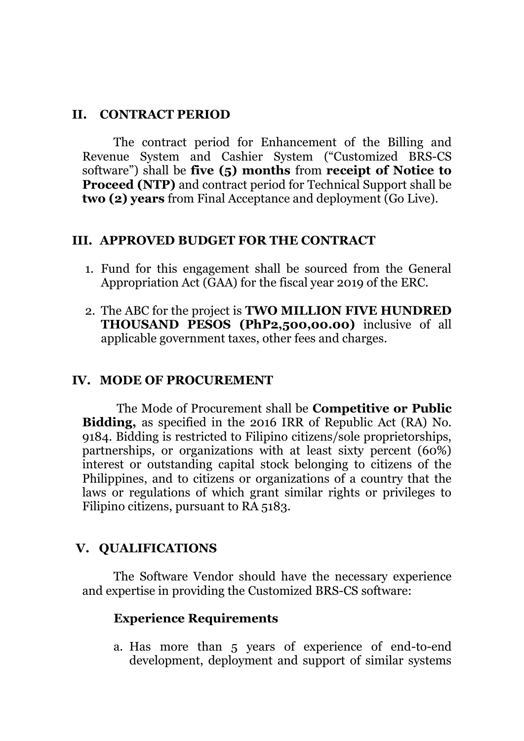#### **II. CONTRACT PERIOD**

The contract period for Enhancement of the Billing and Revenue System and Cashier System ("Customized BRS-CS software") shall be **five (5) months** from **receipt of Notice to Proceed (NTP)** and contract period for Technical Support shall be **two (2) years** from Final Acceptance and deployment (Go Live).

#### **III. APPROVED BUDGET FOR THE CONTRACT**

- 1. Fund for this engagement shall be sourced from the General Appropriation Act (GAA) for the fiscal year 2019 of the ERC.
- 2. The ABC for the project is **TWO MILLION FIVE HUNDRED THOUSAND PESOS (PhP2,500,00.00)** inclusive of all applicable government taxes, other fees and charges.

#### **IV. MODE OF PROCUREMENT**

The Mode of Procurement shall be **Competitive or Public Bidding,** as specified in the 2016 IRR of Republic Act (RA) No. 9184. Bidding is restricted to Filipino citizens/sole proprietorships, partnerships, or organizations with at least sixty percent (60%) interest or outstanding capital stock belonging to citizens of the Philippines, and to citizens or organizations of a country that the laws or regulations of which grant similar rights or privileges to Filipino citizens, pursuant to RA 5183.

### **V. QUALIFICATIONS**

The Software Vendor should have the necessary experience and expertise in providing the Customized BRS-CS software:

#### **Experience Requirements**

a. Has more than 5 years of experience of end-to-end development, deployment and support of similar systems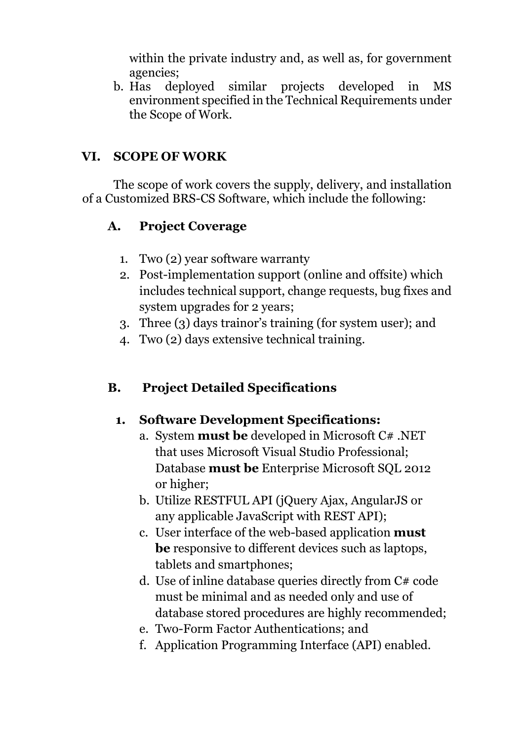within the private industry and, as well as, for government agencies;

b. Has deployed similar projects developed in MS environment specified in the Technical Requirements under the Scope of Work.

## **VI. SCOPE OF WORK**

The scope of work covers the supply, delivery, and installation of a Customized BRS-CS Software, which include the following:

## **A. Project Coverage**

- 1. Two (2) year software warranty
- 2. Post-implementation support (online and offsite) which includes technical support, change requests, bug fixes and system upgrades for 2 years;
- 3. Three (3) days trainor's training (for system user); and
- 4. Two (2) days extensive technical training.

## **B. Project Detailed Specifications**

## **1. Software Development Specifications:**

- a. System **must be** developed in Microsoft C# .NET that uses Microsoft Visual Studio Professional; Database **must be** Enterprise Microsoft SQL 2012 or higher;
- b. Utilize RESTFUL API (jQuery Ajax, AngularJS or any applicable JavaScript with REST API);
- c. User interface of the web-based application **must be** responsive to different devices such as laptops, tablets and smartphones;
- d. Use of inline database queries directly from C# code must be minimal and as needed only and use of database stored procedures are highly recommended;
- e. Two-Form Factor Authentications; and
- f. Application Programming Interface (API) enabled.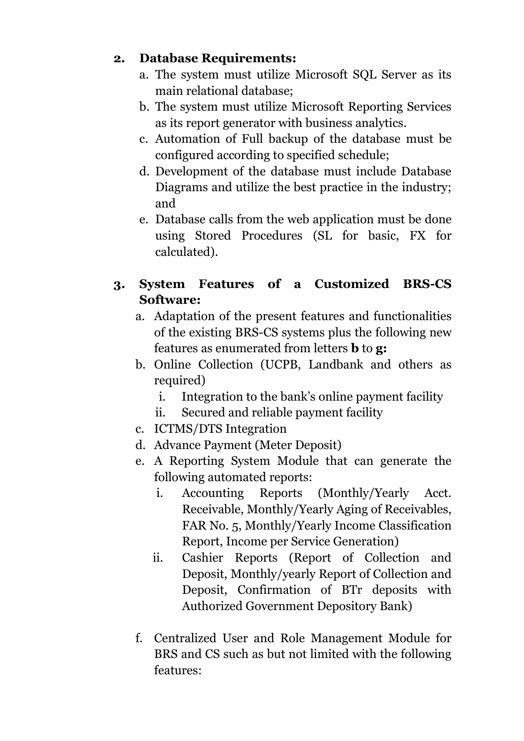## **2. Database Requirements:**

- a. The system must utilize Microsoft SQL Server as its main relational database;
- b. The system must utilize Microsoft Reporting Services as its report generator with business analytics.
- c. Automation of Full backup of the database must be configured according to specified schedule;
- d. Development of the database must include Database Diagrams and utilize the best practice in the industry; and
- e. Database calls from the web application must be done using Stored Procedures (SL for basic, FX for calculated).

# **3. System Features of a Customized BRS-CS Software:**

- a. Adaptation of the present features and functionalities of the existing BRS-CS systems plus the following new features as enumerated from letters **b** to **g:**
- b. Online Collection (UCPB, Landbank and others as required)
	- i. Integration to the bank's online payment facility
	- ii. Secured and reliable payment facility
- c. ICTMS/DTS Integration
- d. Advance Payment (Meter Deposit)
- e. A Reporting System Module that can generate the following automated reports:
	- i. Accounting Reports (Monthly/Yearly Acct. Receivable, Monthly/Yearly Aging of Receivables, FAR No. 5, Monthly/Yearly Income Classification Report, Income per Service Generation)
	- ii. Cashier Reports (Report of Collection and Deposit, Monthly/yearly Report of Collection and Deposit, Confirmation of BTr deposits with Authorized Government Depository Bank)
- f. Centralized User and Role Management Module for BRS and CS such as but not limited with the following features: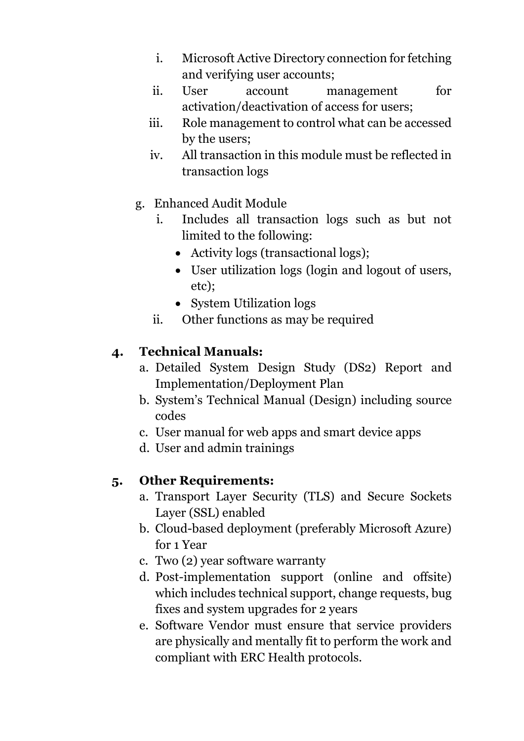- i. Microsoft Active Directory connection for fetching and verifying user accounts;
- ii. User account management for activation/deactivation of access for users;
- iii. Role management to control what can be accessed by the users;
- iv. All transaction in this module must be reflected in transaction logs
- g. Enhanced Audit Module
	- i. Includes all transaction logs such as but not limited to the following:
		- Activity logs (transactional logs);
		- User utilization logs (login and logout of users, etc);
		- System Utilization logs
	- ii. Other functions as may be required

# **4. Technical Manuals:**

- a. Detailed System Design Study (DS2) Report and Implementation/Deployment Plan
- b. System's Technical Manual (Design) including source codes
- c. User manual for web apps and smart device apps
- d. User and admin trainings

## **5. Other Requirements:**

- a. Transport Layer Security (TLS) and Secure Sockets Layer (SSL) enabled
- b. Cloud-based deployment (preferably Microsoft Azure) for 1 Year
- c. Two (2) year software warranty
- d. Post-implementation support (online and offsite) which includes technical support, change requests, bug fixes and system upgrades for 2 years
- e. Software Vendor must ensure that service providers are physically and mentally fit to perform the work and compliant with ERC Health protocols.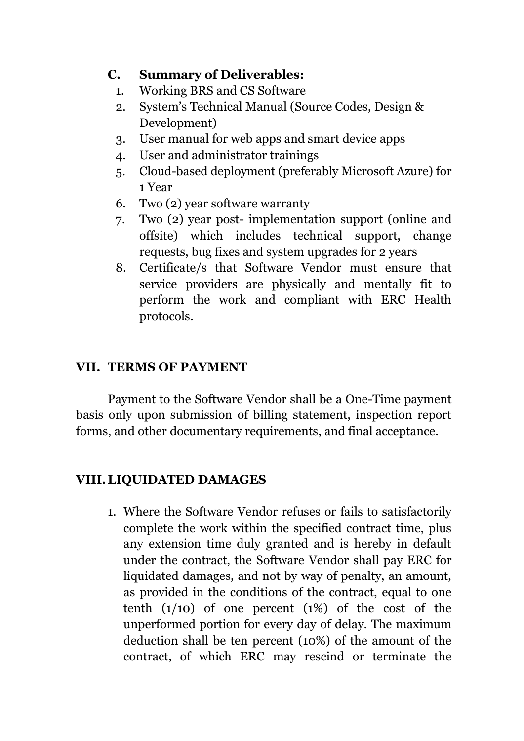## **C. Summary of Deliverables:**

- 1. Working BRS and CS Software
- 2. System's Technical Manual (Source Codes, Design & Development)
- 3. User manual for web apps and smart device apps
- 4. User and administrator trainings
- 5. Cloud-based deployment (preferably Microsoft Azure) for 1 Year
- 6. Two (2) year software warranty
- 7. Two (2) year post- implementation support (online and offsite) which includes technical support, change requests, bug fixes and system upgrades for 2 years
- 8. Certificate/s that Software Vendor must ensure that service providers are physically and mentally fit to perform the work and compliant with ERC Health protocols.

# **VII. TERMS OF PAYMENT**

Payment to the Software Vendor shall be a One-Time payment basis only upon submission of billing statement, inspection report forms, and other documentary requirements, and final acceptance.

# **VIII.LIQUIDATED DAMAGES**

1. Where the Software Vendor refuses or fails to satisfactorily complete the work within the specified contract time, plus any extension time duly granted and is hereby in default under the contract, the Software Vendor shall pay ERC for liquidated damages, and not by way of penalty, an amount, as provided in the conditions of the contract, equal to one tenth  $(1/10)$  of one percent  $(1%)$  of the cost of the unperformed portion for every day of delay. The maximum deduction shall be ten percent (10%) of the amount of the contract, of which ERC may rescind or terminate the